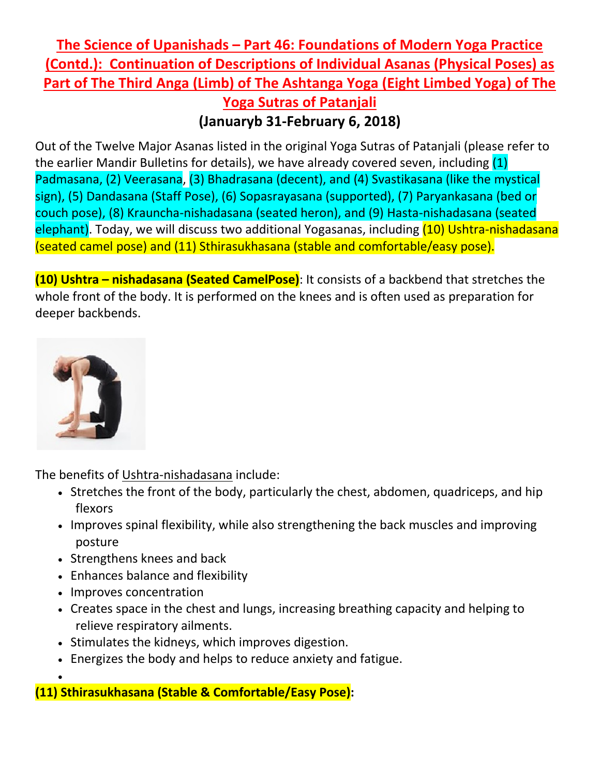## **The Science of Upanishads – Part 46: Foundations of Modern Yoga Practice (Contd.): Continuation of Descriptions of Individual Asanas (Physical Poses) as Part of The Third Anga (Limb) of The Ashtanga Yoga (Eight Limbed Yoga) of The Yoga Sutras of Patanjali**

## **(Januaryb 31-February 6, 2018)**

Out of the Twelve Major Asanas listed in the original Yoga Sutras of Patanjali (please refer to the earlier Mandir Bulletins for details), we have already covered seven, including (1) Padmasana, (2) Veerasana, (3) Bhadrasana (decent), and (4) Svastikasana (like the mystical sign), (5) Dandasana (Staff Pose), (6) Sopasrayasana (supported), (7) Paryankasana (bed or couch pose), (8) Krauncha-nishadasana (seated heron), and (9) Hasta-nishadasana (seated elephant). Today, we will discuss two additional Yogasanas, including (10) Ushtra-nishadasana (seated camel pose) and (11) Sthirasukhasana (stable and comfortable/easy pose).

**(10) Ushtra – nishadasana (Seated CamelPose)**: It consists of a backbend that stretches the whole front of the body. It is performed on the knees and is often used as preparation for deeper backbends.



•

The benefits of Ushtra-nishadasana include:

- Stretches the front of the body, particularly the chest, abdomen, quadriceps, and hip flexors
- Improves spinal flexibility, while also strengthening the back muscles and improving posture
- Strengthens knees and back
- Enhances balance and flexibility
- Improves concentration
- Creates space in the chest and lungs, increasing breathing capacity and helping to relieve respiratory ailments.
- Stimulates the kidneys, which improves digestion.
- Energizes the body and helps to reduce anxiety and fatigue.

**(11) Sthirasukhasana (Stable & Comfortable/Easy Pose):**